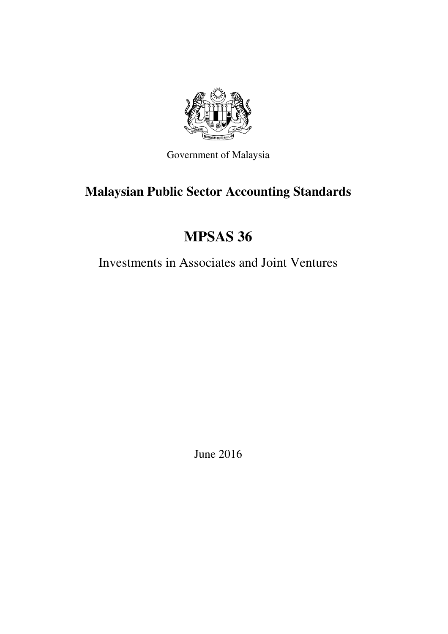

Government of Malaysia

# **Malaysian Public Sector Accounting Standards**

# **MPSAS 36**

Investments in Associates and Joint Ventures

June 2016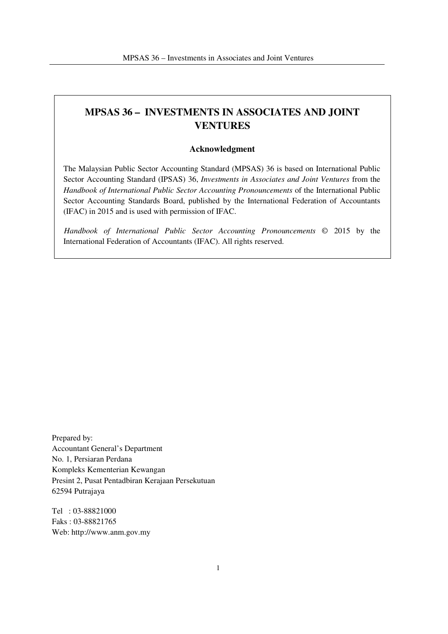## **MPSAS 36 – INVESTMENTS IN ASSOCIATES AND JOINT VENTURES**

#### **Acknowledgment**

The Malaysian Public Sector Accounting Standard (MPSAS) 36 is based on International Public Sector Accounting Standard (IPSAS) 36, *Investments in Associates and Joint Ventures* from the *Handbook of International Public Sector Accounting Pronouncements* of the International Public Sector Accounting Standards Board, published by the International Federation of Accountants (IFAC) in 2015 and is used with permission of IFAC.

*Handbook of International Public Sector Accounting Pronouncements* © 2015 by the International Federation of Accountants (IFAC). All rights reserved.

Prepared by: Accountant General's Department No. 1, Persiaran Perdana Kompleks Kementerian Kewangan Presint 2, Pusat Pentadbiran Kerajaan Persekutuan 62594 Putrajaya

Tel : 03-88821000 Faks : 03-88821765 Web: http://www.anm.gov.my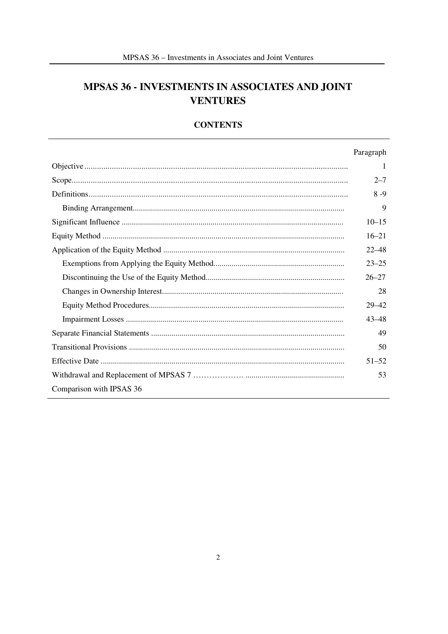## MPSAS 36 - INVESTMENTS IN ASSOCIATES AND JOINT **VENTURES**

|                          | Paragraph |
|--------------------------|-----------|
|                          | 1         |
|                          | $2 - 7$   |
|                          | $8 - 9$   |
|                          | 9         |
|                          | $10 - 15$ |
|                          | $16 - 21$ |
|                          | $22 - 48$ |
|                          | $23 - 25$ |
|                          | $26 - 27$ |
|                          | 28        |
|                          | $29 - 42$ |
|                          | $43 - 48$ |
|                          | 49        |
|                          | 50        |
|                          | $51 - 52$ |
|                          | 53        |
| Comparison with IPSAS 36 |           |

## **CONTENTS**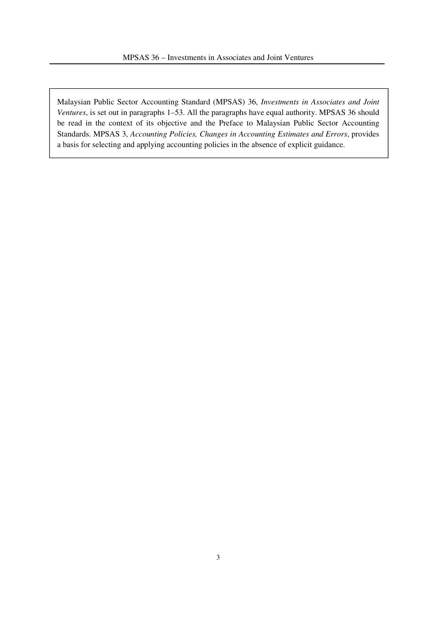Malaysian Public Sector Accounting Standard (MPSAS) 36, *Investments in Associates and Joint Ventures*, is set out in paragraphs 1–53. All the paragraphs have equal authority. MPSAS 36 should be read in the context of its objective and the Preface to Malaysian Public Sector Accounting Standards. MPSAS 3, *Accounting Policies, Changes in Accounting Estimates and Errors*, provides a basis for selecting and applying accounting policies in the absence of explicit guidance.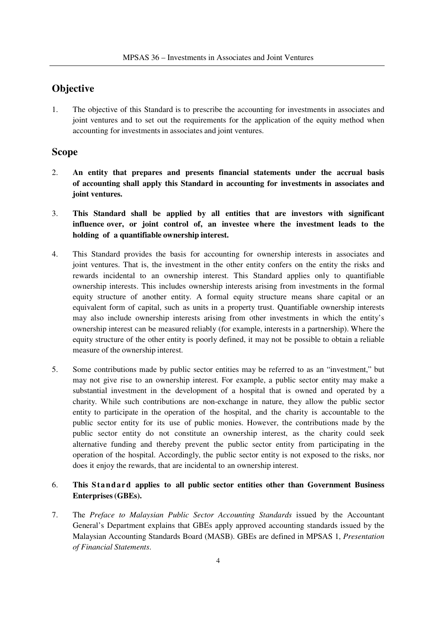## **Objective**

1. The objective of this Standard is to prescribe the accounting for investments in associates and joint ventures and to set out the requirements for the application of the equity method when accounting for investments in associates and joint ventures.

#### **Scope**

- 2. **An entity that prepares and presents financial statements under the accrual basis of accounting shall apply this Standard in accounting for investments in associates and joint ventures.**
- 3. **This Standard shall be applied by all entities that are investors with significant influence over, or joint control of, an investee where the investment leads to the holding of a quantifiable ownership interest.**
- 4. This Standard provides the basis for accounting for ownership interests in associates and joint ventures. That is, the investment in the other entity confers on the entity the risks and rewards incidental to an ownership interest. This Standard applies only to quantifiable ownership interests. This includes ownership interests arising from investments in the formal equity structure of another entity. A formal equity structure means share capital or an equivalent form of capital, such as units in a property trust. Quantifiable ownership interests may also include ownership interests arising from other investments in which the entity's ownership interest can be measured reliably (for example, interests in a partnership). Where the equity structure of the other entity is poorly defined, it may not be possible to obtain a reliable measure of the ownership interest.
- 5. Some contributions made by public sector entities may be referred to as an "investment," but may not give rise to an ownership interest. For example, a public sector entity may make a substantial investment in the development of a hospital that is owned and operated by a charity. While such contributions are non-exchange in nature, they allow the public sector entity to participate in the operation of the hospital, and the charity is accountable to the public sector entity for its use of public monies. However, the contributions made by the public sector entity do not constitute an ownership interest, as the charity could seek alternative funding and thereby prevent the public sector entity from participating in the operation of the hospital. Accordingly, the public sector entity is not exposed to the risks, nor does it enjoy the rewards, that are incidental to an ownership interest.

#### 6. **This S ta nd ar d applies to all public sector entities other than Government Business Enterprises (GBEs).**

7. The *Preface to Malaysian Public Sector Accounting Standards* issued by the Accountant General's Department explains that GBEs apply approved accounting standards issued by the Malaysian Accounting Standards Board (MASB). GBEs are defined in MPSAS 1, *Presentation of Financial Statements*.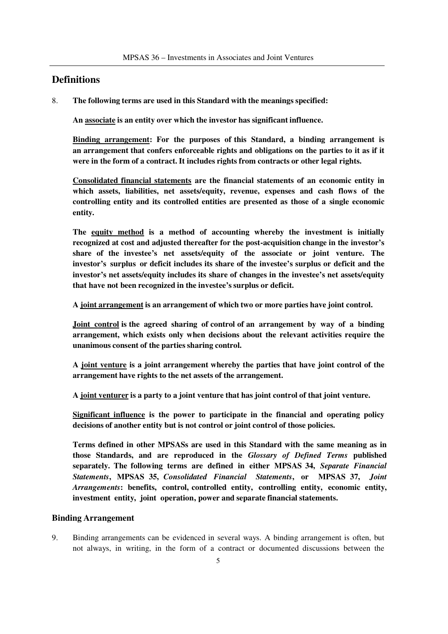## **Definitions**

8. **The following terms are used in this Standard with the meanings specified:** 

**An associate is an entity over which the investor has significant influence.** 

**Binding arrangement: For the purposes of this Standard, a binding arrangement is an arrangement that confers enforceable rights and obligations on the parties to it as if it were in the form of a contract. It includes rights from contracts or other legal rights.**

**Consolidated financial statements are the financial statements of an economic entity in which assets, liabilities, net assets/equity, revenue, expenses and cash flows of the controlling entity and its controlled entities are presented as those of a single economic entity.**

**The equity method is a method of accounting whereby the investment is initially recognized at cost and adjusted thereafter for the post-acquisition change in the investor's share of the investee's net assets/equity of the associate or joint venture. The investor's surplus or deficit includes its share of the investee's surplus or deficit and the investor's net assets/equity includes its share of changes in the investee's net assets/equity that have not been recognized in the investee's surplus or deficit.**

**A joint arrangement is an arrangement of which two or more parties have joint control.**

**Joint control is the agreed sharing of control of an arrangement by way of a binding arrangement, which exists only when decisions about the relevant activities require the unanimous consent of the parties sharing control.**

**A joint venture is a joint arrangement whereby the parties that have joint control of the arrangement have rights to the net assets of the arrangement.**

**A joint venturer is a party to a joint venture that has joint control of that joint venture.**

**Significant influence is the power to participate in the financial and operating policy decisions of another entity but is not control or joint control of those policies.**

**Terms defined in other MPSASs are used in this Standard with the same meaning as in those Standards, and are reproduced in the** *Glossary of Defined Terms* **published separately. The following terms are defined in either MPSAS 34,** *Separate Financial Statements***, MPSAS 35,** *Consolidated Financial Statements***, or MPSAS 37,** *Joint Arrangements***: benefits, control, controlled entity, controlling entity, economic entity, investment entity, joint operation, power and separate financial statements.**

#### **Binding Arrangement**

9. Binding arrangements can be evidenced in several ways. A binding arrangement is often, but not always, in writing, in the form of a contract or documented discussions between the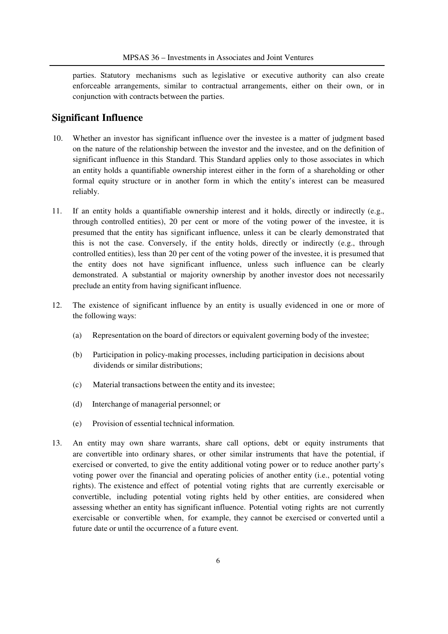parties. Statutory mechanisms such as legislative or executive authority can also create enforceable arrangements, similar to contractual arrangements, either on their own, or in conjunction with contracts between the parties.

#### **Significant Influence**

- 10. Whether an investor has significant influence over the investee is a matter of judgment based on the nature of the relationship between the investor and the investee, and on the definition of significant influence in this Standard. This Standard applies only to those associates in which an entity holds a quantifiable ownership interest either in the form of a shareholding or other formal equity structure or in another form in which the entity's interest can be measured reliably.
- 11. If an entity holds a quantifiable ownership interest and it holds, directly or indirectly (e.g., through controlled entities), 20 per cent or more of the voting power of the investee, it is presumed that the entity has significant influence, unless it can be clearly demonstrated that this is not the case. Conversely, if the entity holds, directly or indirectly (e.g., through controlled entities), less than 20 per cent of the voting power of the investee, it is presumed that the entity does not have significant influence, unless such influence can be clearly demonstrated. A substantial or majority ownership by another investor does not necessarily preclude an entity from having significant influence.
- 12. The existence of significant influence by an entity is usually evidenced in one or more of the following ways:
	- (a) Representation on the board of directors or equivalent governing body of the investee;
	- (b) Participation in policy-making processes, including participation in decisions about dividends or similar distributions;
	- (c) Material transactions between the entity and its investee;
	- (d) Interchange of managerial personnel; or
	- (e) Provision of essential technical information.
- 13. An entity may own share warrants, share call options, debt or equity instruments that are convertible into ordinary shares, or other similar instruments that have the potential, if exercised or converted, to give the entity additional voting power or to reduce another party's voting power over the financial and operating policies of another entity (i.e., potential voting rights). The existence and effect of potential voting rights that are currently exercisable or convertible, including potential voting rights held by other entities, are considered when assessing whether an entity has significant influence. Potential voting rights are not currently exercisable or convertible when, for example, they cannot be exercised or converted until a future date or until the occurrence of a future event.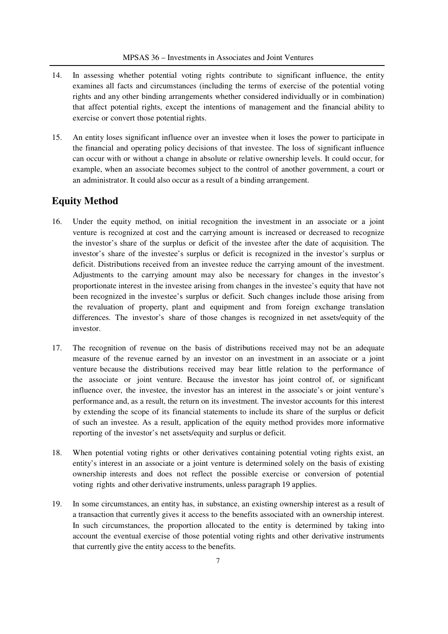- 14. In assessing whether potential voting rights contribute to significant influence, the entity examines all facts and circumstances (including the terms of exercise of the potential voting rights and any other binding arrangements whether considered individually or in combination) that affect potential rights, except the intentions of management and the financial ability to exercise or convert those potential rights.
- 15. An entity loses significant influence over an investee when it loses the power to participate in the financial and operating policy decisions of that investee. The loss of significant influence can occur with or without a change in absolute or relative ownership levels. It could occur, for example, when an associate becomes subject to the control of another government, a court or an administrator. It could also occur as a result of a binding arrangement.

## **Equity Method**

- 16. Under the equity method, on initial recognition the investment in an associate or a joint venture is recognized at cost and the carrying amount is increased or decreased to recognize the investor's share of the surplus or deficit of the investee after the date of acquisition. The investor's share of the investee's surplus or deficit is recognized in the investor's surplus or deficit. Distributions received from an investee reduce the carrying amount of the investment. Adjustments to the carrying amount may also be necessary for changes in the investor's proportionate interest in the investee arising from changes in the investee's equity that have not been recognized in the investee's surplus or deficit. Such changes include those arising from the revaluation of property, plant and equipment and from foreign exchange translation differences. The investor's share of those changes is recognized in net assets/equity of the investor.
- 17. The recognition of revenue on the basis of distributions received may not be an adequate measure of the revenue earned by an investor on an investment in an associate or a joint venture because the distributions received may bear little relation to the performance of the associate or joint venture. Because the investor has joint control of, or significant influence over, the investee, the investor has an interest in the associate's or joint venture's performance and, as a result, the return on its investment. The investor accounts for this interest by extending the scope of its financial statements to include its share of the surplus or deficit of such an investee. As a result, application of the equity method provides more informative reporting of the investor's net assets/equity and surplus or deficit.
- 18. When potential voting rights or other derivatives containing potential voting rights exist, an entity's interest in an associate or a joint venture is determined solely on the basis of existing ownership interests and does not reflect the possible exercise or conversion of potential voting rights and other derivative instruments, unless paragraph 19 applies.
- 19. In some circumstances, an entity has, in substance, an existing ownership interest as a result of a transaction that currently gives it access to the benefits associated with an ownership interest. In such circumstances, the proportion allocated to the entity is determined by taking into account the eventual exercise of those potential voting rights and other derivative instruments that currently give the entity access to the benefits.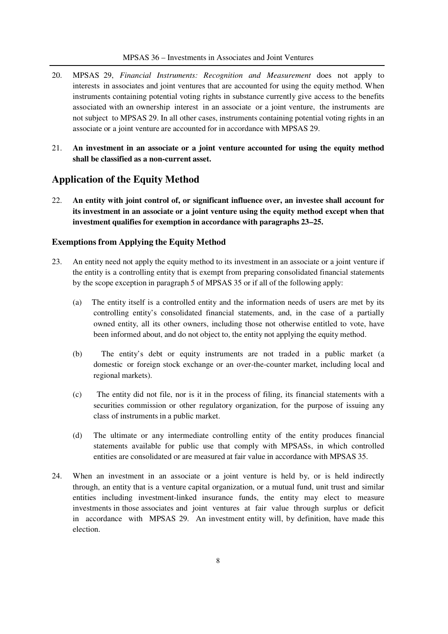- 20. MPSAS 29, *Financial Instruments: Recognition and Measurement* does not apply to interests in associates and joint ventures that are accounted for using the equity method. When instruments containing potential voting rights in substance currently give access to the benefits associated with an ownership interest in an associate or a joint venture, the instruments are not subject to MPSAS 29. In all other cases, instruments containing potential voting rights in an associate or a joint venture are accounted for in accordance with MPSAS 29.
- 21. **An investment in an associate or a joint venture accounted for using the equity method shall be classified as a non-current asset.**

### **Application of the Equity Method**

22. **An entity with joint control of, or significant influence over, an investee shall account for its investment in an associate or a joint venture using the equity method except when that investment qualifies for exemption in accordance with paragraphs 23–25.**

#### **Exemptions from Applying the Equity Method**

- 23. An entity need not apply the equity method to its investment in an associate or a joint venture if the entity is a controlling entity that is exempt from preparing consolidated financial statements by the scope exception in paragraph 5 of MPSAS 35 or if all of the following apply:
	- (a) The entity itself is a controlled entity and the information needs of users are met by its controlling entity's consolidated financial statements, and, in the case of a partially owned entity, all its other owners, including those not otherwise entitled to vote, have been informed about, and do not object to, the entity not applying the equity method.
	- (b) The entity's debt or equity instruments are not traded in a public market (a domestic or foreign stock exchange or an over-the-counter market, including local and regional markets).
	- (c) The entity did not file, nor is it in the process of filing, its financial statements with a securities commission or other regulatory organization, for the purpose of issuing any class of instruments in a public market.
	- (d) The ultimate or any intermediate controlling entity of the entity produces financial statements available for public use that comply with MPSASs, in which controlled entities are consolidated or are measured at fair value in accordance with MPSAS 35.
- 24. When an investment in an associate or a joint venture is held by, or is held indirectly through, an entity that is a venture capital organization, or a mutual fund, unit trust and similar entities including investment-linked insurance funds, the entity may elect to measure investments in those associates and joint ventures at fair value through surplus or deficit in accordance with MPSAS 29. An investment entity will, by definition, have made this election.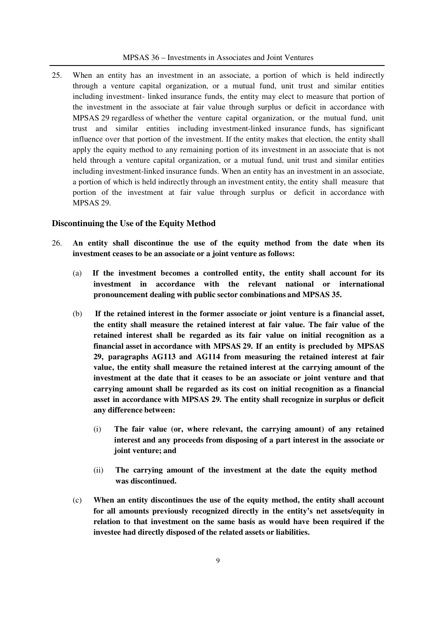25. When an entity has an investment in an associate, a portion of which is held indirectly through a venture capital organization, or a mutual fund, unit trust and similar entities including investment- linked insurance funds, the entity may elect to measure that portion of the investment in the associate at fair value through surplus or deficit in accordance with MPSAS 29 regardless of whether the venture capital organization, or the mutual fund, unit trust and similar entities including investment-linked insurance funds, has significant influence over that portion of the investment. If the entity makes that election, the entity shall apply the equity method to any remaining portion of its investment in an associate that is not held through a venture capital organization, or a mutual fund, unit trust and similar entities including investment-linked insurance funds. When an entity has an investment in an associate, a portion of which is held indirectly through an investment entity, the entity shall measure that portion of the investment at fair value through surplus or deficit in accordance with MPSAS 29.

#### **Discontinuing the Use of the Equity Method**

- 26. **An entity shall discontinue the use of the equity method from the date when its investment ceases to be an associate or a joint venture as follows:**
	- (a) **If the investment becomes a controlled entity, the entity shall account for its investment in accordance with the relevant national or international pronouncement dealing with public sector combinations and MPSAS 35.**
	- (b) **If the retained interest in the former associate or joint venture is a financial asset, the entity shall measure the retained interest at fair value. The fair value of the retained interest shall be regarded as its fair value on initial recognition as a financial asset in accordance with MPSAS 29. If an entity is precluded by MPSAS 29, paragraphs AG113 and AG114 from measuring the retained interest at fair value, the entity shall measure the retained interest at the carrying amount of the investment at the date that it ceases to be an associate or joint venture and that carrying amount shall be regarded as its cost on initial recognition as a financial asset in accordance with MPSAS 29. The entity shall recognize in surplus or deficit any difference between:**
		- (i) **The fair value (or, where relevant, the carrying amount) of any retained interest and any proceeds from disposing of a part interest in the associate or joint venture; and**
		- (ii) **The carrying amount of the investment at the date the equity method was discontinued.**
	- (c) **When an entity discontinues the use of the equity method, the entity shall account for all amounts previously recognized directly in the entity's net assets/equity in relation to that investment on the same basis as would have been required if the investee had directly disposed of the related assets or liabilities.**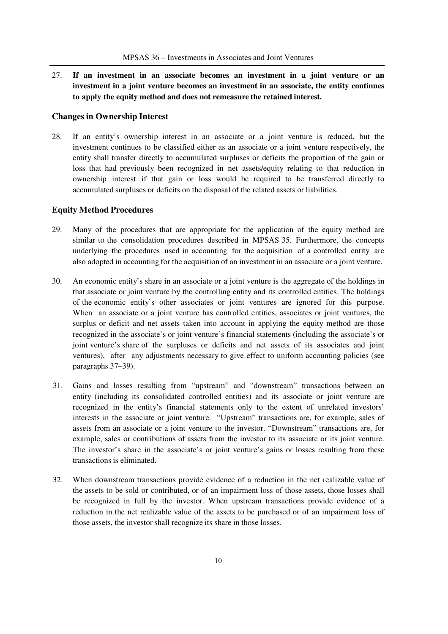27. **If an investment in an associate becomes an investment in a joint venture or an investment in a joint venture becomes an investment in an associate, the entity continues to apply the equity method and does not remeasure the retained interest.**

#### **Changes in Ownership Interest**

28. If an entity's ownership interest in an associate or a joint venture is reduced, but the investment continues to be classified either as an associate or a joint venture respectively, the entity shall transfer directly to accumulated surpluses or deficits the proportion of the gain or loss that had previously been recognized in net assets/equity relating to that reduction in ownership interest if that gain or loss would be required to be transferred directly to accumulated surpluses or deficits on the disposal of the related assets or liabilities.

#### **Equity Method Procedures**

- 29. Many of the procedures that are appropriate for the application of the equity method are similar to the consolidation procedures described in MPSAS 35. Furthermore, the concepts underlying the procedures used in accounting for the acquisition of a controlled entity are also adopted in accounting for the acquisition of an investment in an associate or a joint venture.
- 30. An economic entity's share in an associate or a joint venture is the aggregate of the holdings in that associate or joint venture by the controlling entity and its controlled entities. The holdings of the economic entity's other associates or joint ventures are ignored for this purpose. When an associate or a joint venture has controlled entities, associates or joint ventures, the surplus or deficit and net assets taken into account in applying the equity method are those recognized in the associate's or joint venture's financial statements (including the associate's or joint venture's share of the surpluses or deficits and net assets of its associates and joint ventures), after any adjustments necessary to give effect to uniform accounting policies (see paragraphs 37–39).
- 31. Gains and losses resulting from "upstream" and "downstream" transactions between an entity (including its consolidated controlled entities) and its associate or joint venture are recognized in the entity's financial statements only to the extent of unrelated investors' interests in the associate or joint venture. "Upstream" transactions are, for example, sales of assets from an associate or a joint venture to the investor. "Downstream" transactions are, for example, sales or contributions of assets from the investor to its associate or its joint venture. The investor's share in the associate's or joint venture's gains or losses resulting from these transactions is eliminated.
- 32. When downstream transactions provide evidence of a reduction in the net realizable value of the assets to be sold or contributed, or of an impairment loss of those assets, those losses shall be recognized in full by the investor. When upstream transactions provide evidence of a reduction in the net realizable value of the assets to be purchased or of an impairment loss of those assets, the investor shall recognize its share in those losses.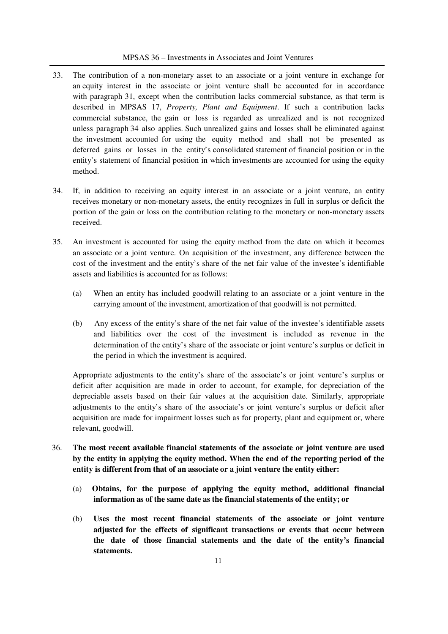- 33. The contribution of a non-monetary asset to an associate or a joint venture in exchange for an equity interest in the associate or joint venture shall be accounted for in accordance with paragraph 31, except when the contribution lacks commercial substance, as that term is described in MPSAS 17, *Property, Plant and Equipment*. If such a contribution lacks commercial substance, the gain or loss is regarded as unrealized and is not recognized unless paragraph 34 also applies. Such unrealized gains and losses shall be eliminated against the investment accounted for using the equity method and shall not be presented as deferred gains or losses in the entity's consolidated statement of financial position or in the entity's statement of financial position in which investments are accounted for using the equity method.
- 34. If, in addition to receiving an equity interest in an associate or a joint venture, an entity receives monetary or non-monetary assets, the entity recognizes in full in surplus or deficit the portion of the gain or loss on the contribution relating to the monetary or non-monetary assets received.
- 35. An investment is accounted for using the equity method from the date on which it becomes an associate or a joint venture. On acquisition of the investment, any difference between the cost of the investment and the entity's share of the net fair value of the investee's identifiable assets and liabilities is accounted for as follows:
	- (a) When an entity has included goodwill relating to an associate or a joint venture in the carrying amount of the investment, amortization of that goodwill is not permitted.
	- (b) Any excess of the entity's share of the net fair value of the investee's identifiable assets and liabilities over the cost of the investment is included as revenue in the determination of the entity's share of the associate or joint venture's surplus or deficit in the period in which the investment is acquired.

Appropriate adjustments to the entity's share of the associate's or joint venture's surplus or deficit after acquisition are made in order to account, for example, for depreciation of the depreciable assets based on their fair values at the acquisition date. Similarly, appropriate adjustments to the entity's share of the associate's or joint venture's surplus or deficit after acquisition are made for impairment losses such as for property, plant and equipment or, where relevant, goodwill.

- 36. **The most recent available financial statements of the associate or joint venture are used by the entity in applying the equity method. When the end of the reporting period of the entity is different from that of an associate or a joint venture the entity either:**
	- (a) **Obtains, for the purpose of applying the equity method, additional financial information as of the same date as the financial statements of the entity; or**
	- (b) **Uses the most recent financial statements of the associate or joint venture adjusted for the effects of significant transactions or events that occur between the date of those financial statements and the date of the entity's financial statements.**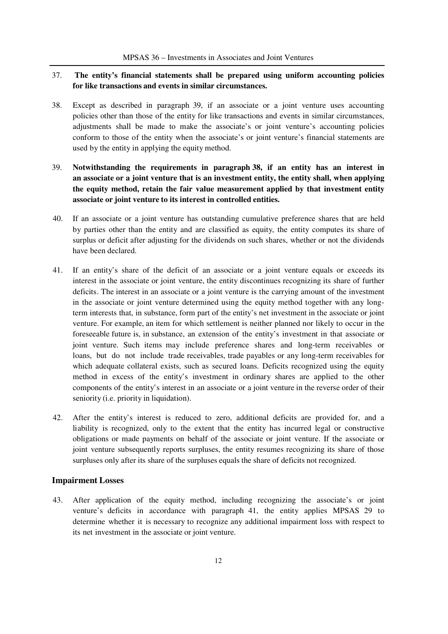#### 37. **The entity's financial statements shall be prepared using uniform accounting policies for like transactions and events in similar circumstances.**

- 38. Except as described in paragraph 39, if an associate or a joint venture uses accounting policies other than those of the entity for like transactions and events in similar circumstances, adjustments shall be made to make the associate's or joint venture's accounting policies conform to those of the entity when the associate's or joint venture's financial statements are used by the entity in applying the equity method.
- 39. **Notwithstanding the requirements in paragraph 38, if an entity has an interest in an associate or a joint venture that is an investment entity, the entity shall, when applying the equity method, retain the fair value measurement applied by that investment entity associate or joint venture to its interest in controlled entities.**
- 40. If an associate or a joint venture has outstanding cumulative preference shares that are held by parties other than the entity and are classified as equity, the entity computes its share of surplus or deficit after adjusting for the dividends on such shares, whether or not the dividends have been declared.
- 41. If an entity's share of the deficit of an associate or a joint venture equals or exceeds its interest in the associate or joint venture, the entity discontinues recognizing its share of further deficits. The interest in an associate or a joint venture is the carrying amount of the investment in the associate or joint venture determined using the equity method together with any longterm interests that, in substance, form part of the entity's net investment in the associate or joint venture. For example, an item for which settlement is neither planned nor likely to occur in the foreseeable future is, in substance, an extension of the entity's investment in that associate or joint venture. Such items may include preference shares and long-term receivables or loans, but do not include trade receivables, trade payables or any long-term receivables for which adequate collateral exists, such as secured loans. Deficits recognized using the equity method in excess of the entity's investment in ordinary shares are applied to the other components of the entity's interest in an associate or a joint venture in the reverse order of their seniority (i.e. priority in liquidation).
- 42. After the entity's interest is reduced to zero, additional deficits are provided for, and a liability is recognized, only to the extent that the entity has incurred legal or constructive obligations or made payments on behalf of the associate or joint venture. If the associate or joint venture subsequently reports surpluses, the entity resumes recognizing its share of those surpluses only after its share of the surpluses equals the share of deficits not recognized.

#### **Impairment Losses**

43. After application of the equity method, including recognizing the associate's or joint venture's deficits in accordance with paragraph 41, the entity applies MPSAS 29 to determine whether it is necessary to recognize any additional impairment loss with respect to its net investment in the associate or joint venture.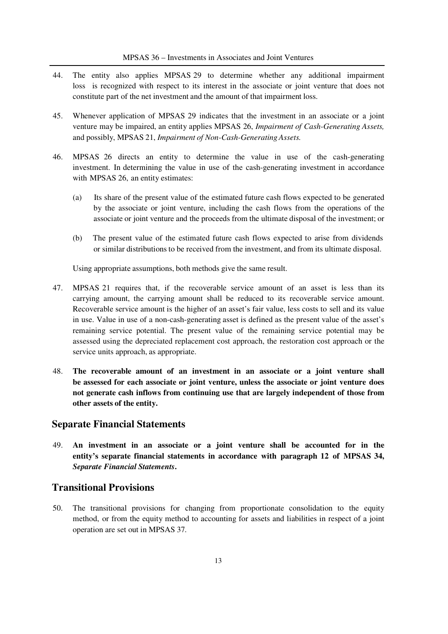- 44. The entity also applies MPSAS 29 to determine whether any additional impairment loss is recognized with respect to its interest in the associate or joint venture that does not constitute part of the net investment and the amount of that impairment loss.
- 45. Whenever application of MPSAS 29 indicates that the investment in an associate or a joint venture may be impaired, an entity applies MPSAS 26, *Impairment of Cash-Generating Assets,*  and possibly, MPSAS 21, *Impairment of Non-Cash-Generating Assets.*
- 46. MPSAS 26 directs an entity to determine the value in use of the cash-generating investment. In determining the value in use of the cash-generating investment in accordance with MPSAS 26, an entity estimates:
	- (a) Its share of the present value of the estimated future cash flows expected to be generated by the associate or joint venture, including the cash flows from the operations of the associate or joint venture and the proceeds from the ultimate disposal of the investment; or
	- (b) The present value of the estimated future cash flows expected to arise from dividends or similar distributions to be received from the investment, and from its ultimate disposal.

Using appropriate assumptions, both methods give the same result.

- 47. MPSAS 21 requires that, if the recoverable service amount of an asset is less than its carrying amount, the carrying amount shall be reduced to its recoverable service amount. Recoverable service amount is the higher of an asset's fair value, less costs to sell and its value in use. Value in use of a non-cash-generating asset is defined as the present value of the asset's remaining service potential. The present value of the remaining service potential may be assessed using the depreciated replacement cost approach, the restoration cost approach or the service units approach, as appropriate.
- 48. **The recoverable amount of an investment in an associate or a joint venture shall be assessed for each associate or joint venture, unless the associate or joint venture does not generate cash inflows from continuing use that are largely independent of those from other assets of the entity.**

#### **Separate Financial Statements**

49. **An investment in an associate or a joint venture shall be accounted for in the entity's separate financial statements in accordance with paragraph 12 of MPSAS 34,**  *Separate Financial Statements***.**

### **Transitional Provisions**

50. The transitional provisions for changing from proportionate consolidation to the equity method, or from the equity method to accounting for assets and liabilities in respect of a joint operation are set out in MPSAS 37*.*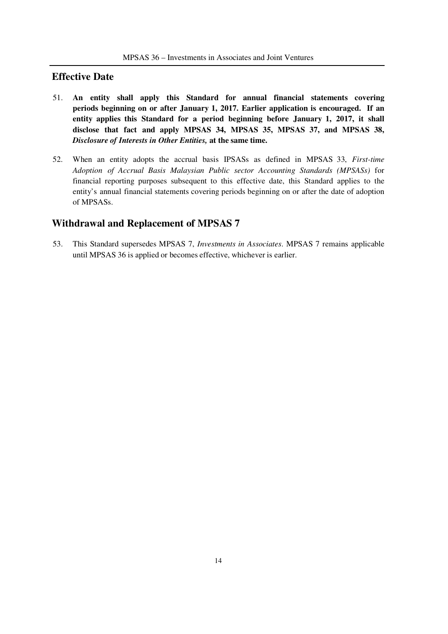#### **Effective Date**

- 51. **An entity shall apply this Standard for annual financial statements covering periods beginning on or after January 1, 2017. Earlier application is encouraged. If an entity applies this Standard for a period beginning before January 1, 2017, it shall disclose that fact and apply MPSAS 34, MPSAS 35, MPSAS 37, and MPSAS 38,**  *Disclosure of Interests in Other Entities,* **at the same time.**
- 52. When an entity adopts the accrual basis IPSASs as defined in MPSAS 33, *First-time Adoption of Accrual Basis Malaysian Public sector Accounting Standards (MPSASs)* for financial reporting purposes subsequent to this effective date, this Standard applies to the entity's annual financial statements covering periods beginning on or after the date of adoption of MPSASs.

#### **Withdrawal and Replacement of MPSAS 7**

53. This Standard supersedes MPSAS 7, *Investments in Associates*. MPSAS 7 remains applicable until MPSAS 36 is applied or becomes effective, whichever is earlier.